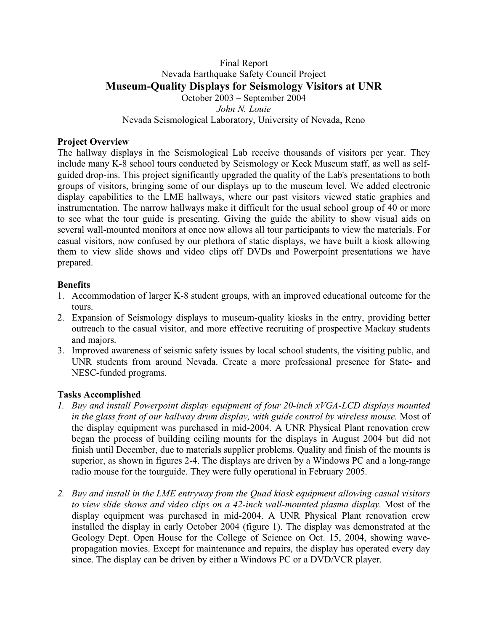### Final Report Nevada Earthquake Safety Council Project **Museum-Quality Displays for Seismology Visitors at UNR** October 2003 – September 2004 *John N. Louie*

## Nevada Seismological Laboratory, University of Nevada, Reno

### **Project Overview**

The hallway displays in the Seismological Lab receive thousands of visitors per year. They include many K-8 school tours conducted by Seismology or Keck Museum staff, as well as selfguided drop-ins. This project significantly upgraded the quality of the Lab's presentations to both groups of visitors, bringing some of our displays up to the museum level. We added electronic display capabilities to the LME hallways, where our past visitors viewed static graphics and instrumentation. The narrow hallways make it difficult for the usual school group of 40 or more to see what the tour guide is presenting. Giving the guide the ability to show visual aids on several wall-mounted monitors at once now allows all tour participants to view the materials. For casual visitors, now confused by our plethora of static displays, we have built a kiosk allowing them to view slide shows and video clips off DVDs and Powerpoint presentations we have prepared.

### **Benefits**

- 1. Accommodation of larger K-8 student groups, with an improved educational outcome for the tours.
- 2. Expansion of Seismology displays to museum-quality kiosks in the entry, providing better outreach to the casual visitor, and more effective recruiting of prospective Mackay students and majors.
- 3. Improved awareness of seismic safety issues by local school students, the visiting public, and UNR students from around Nevada. Create a more professional presence for State- and NESC-funded programs.

#### **Tasks Accomplished**

- *1. Buy and install Powerpoint display equipment of four 20-inch xVGA-LCD displays mounted in the glass front of our hallway drum display, with guide control by wireless mouse.* Most of the display equipment was purchased in mid-2004. A UNR Physical Plant renovation crew began the process of building ceiling mounts for the displays in August 2004 but did not finish until December, due to materials supplier problems. Quality and finish of the mounts is superior, as shown in figures 2-4. The displays are driven by a Windows PC and a long-range radio mouse for the tourguide. They were fully operational in February 2005.
- *2. Buy and install in the LME entryway from the Quad kiosk equipment allowing casual visitors to view slide shows and video clips on a 42-inch wall-mounted plasma display.* Most of the display equipment was purchased in mid-2004. A UNR Physical Plant renovation crew installed the display in early October 2004 (figure 1). The display was demonstrated at the Geology Dept. Open House for the College of Science on Oct. 15, 2004, showing wavepropagation movies. Except for maintenance and repairs, the display has operated every day since. The display can be driven by either a Windows PC or a DVD/VCR player.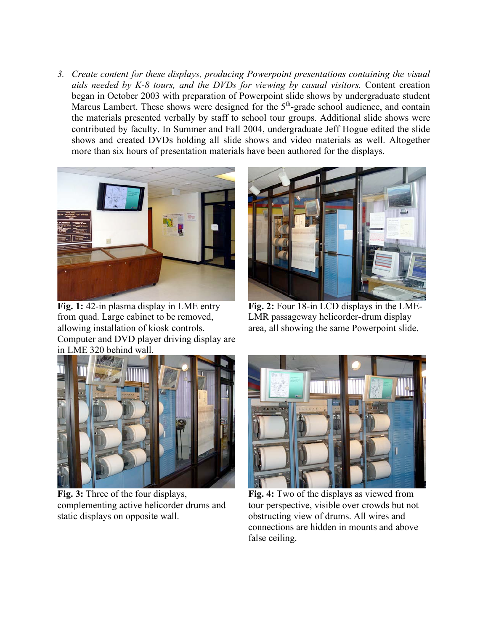*3. Create content for these displays, producing Powerpoint presentations containing the visual aids needed by K-8 tours, and the DVDs for viewing by casual visitors.* Content creation began in October 2003 with preparation of Powerpoint slide shows by undergraduate student Marcus Lambert. These shows were designed for the 5<sup>th</sup>-grade school audience, and contain the materials presented verbally by staff to school tour groups. Additional slide shows were contributed by faculty. In Summer and Fall 2004, undergraduate Jeff Hogue edited the slide shows and created DVDs holding all slide shows and video materials as well. Altogether more than six hours of presentation materials have been authored for the displays.



**Fig. 1:** 42-in plasma display in LME entry from quad. Large cabinet to be removed, allowing installation of kiosk controls. Computer and DVD player driving display are in LME 320 behind wall.



**Fig. 2:** Four 18-in LCD displays in the LME-LMR passageway helicorder-drum display area, all showing the same Powerpoint slide.



**Fig. 3:** Three of the four displays, complementing active helicorder drums and static displays on opposite wall.



**Fig. 4:** Two of the displays as viewed from tour perspective, visible over crowds but not obstructing view of drums. All wires and connections are hidden in mounts and above false ceiling.